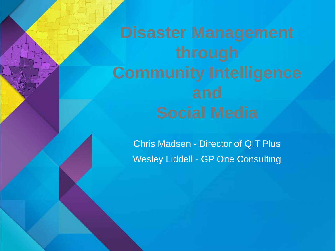Chris Madsen - Director of QIT Plus Wesley Liddell - GP One Consulting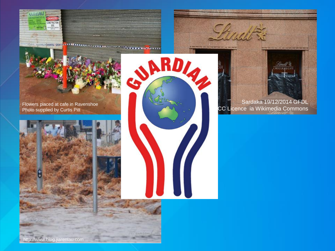





<u> 17 17 17 18 18 18 18 18 18 18 18 1</u>

Sardaka 19/12/2014 GFDL

Photo supplied by Curtis Pitt

http://www.blog.jiarenlau.com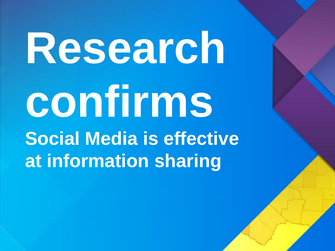# **Research confirms Social Media is effective at information sharing**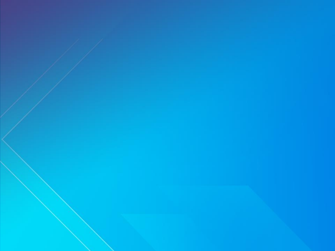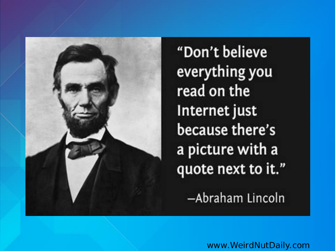

"Don't believe everything you read on the Internet just because there's a picture with a quote next to it."

-Abraham Lincoln

www.WeirdNutDaily.com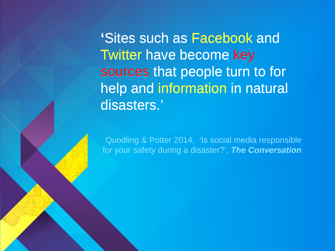**'Sites such as Facebook and<br>Twitter have become key** Twitter have become key sources that people turn to for help and information in natural disasters.' sources that people turn to for<br>help and information in natural<br>disasters.'

Quodling & Potter 2014, 'Is social media responsible for your safety during a disaster?', *The Conversation*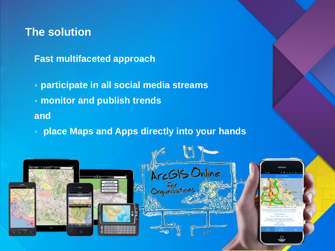#### **The solution**

**Fast multifaceted approach**

- **participate in all social media streams**
- **monitor and publish trends**

#### **and**

**[place Maps and Apps directly into your hands](https://www.youtube.com/watch?v=j3eOGBk9yPY)**

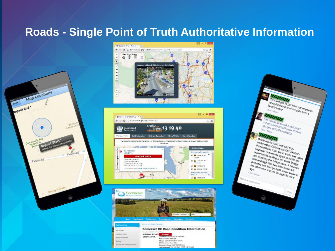#### **Roads - Single Point of Truth Authoritative Information**





| Queensland<br><b>Eavernment</b>                                                                            | traffic<br>Informavel 13 19 40                                                                                                                        |                      |                                                                      |
|------------------------------------------------------------------------------------------------------------|-------------------------------------------------------------------------------------------------------------------------------------------------------|----------------------|----------------------------------------------------------------------|
| Man Vice Faran<br><b>Quick Information</b>                                                                 | Driving in Contractional                                                                                                                              | <b>Honor Vehicle</b> | Mexico and co                                                        |
|                                                                                                            | There are currently so major disruptions to the road pervors. Peasawase the interactive map to provine traffic approac-<br>continues.<br>$\mathbb{R}$ | C Having 2001        | Liegary options.                                                     |
| MARTIN WITHIN<br><b>LIBOMITTA</b><br>a longed in oil write des.                                            |                                                                                                                                                       |                      | Carroll Institutionalist<br>M. Me Indowship and<br>ENGARDE           |
| Day to specificant aver<br>De signality to in<br>Leslandsbell, IT deposits in<br>Sections des 14 Jan 2010. |                                                                                                                                                       | Additional           | <b>R 83 Corana and</b><br><b>Distriction</b><br><b>A BE HALDVANS</b> |





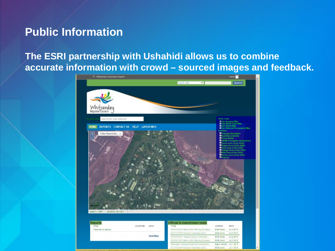#### **Public Information**

#### **The ESRI partnership with Ushahidi allows us to combine accurate information with crowd – sourced images and feedback.**



| <b>JDORF</b>         |          |                                    | Official & mainstream news                                 |                                                                                                                                                                                                                                |            |
|----------------------|----------|------------------------------------|------------------------------------------------------------|--------------------------------------------------------------------------------------------------------------------------------------------------------------------------------------------------------------------------------|------------|
| <b>TITLE</b>         | COCATION | DATE                               | TITLE                                                      | <b>SOURCE</b>                                                                                                                                                                                                                  | DATE       |
| There are no reports |          |                                    | 03/10.02 EST Martre Wind Warning Summary                   | <b>BOM Alerta</b>                                                                                                                                                                                                              | Jul 3 2019 |
|                      |          | Chan Andrewald<br><b>Youw More</b> | DAYLE OF EST Foresast Twok May (CLD).                      | <b>ROM AWAY</b>                                                                                                                                                                                                                | Jul 2 2015 |
|                      |          |                                    | 02/18:54 EST Tropical Cecional information                 | <b>BOM Alerta</b>                                                                                                                                                                                                              | Jul 2 2019 |
|                      |          |                                    | OZHEE1 EST Manne Who Warning Summers                       | <b>BOM Awes</b>                                                                                                                                                                                                                | 14122055   |
|                      |          |                                    | New Export bulking boosts focal construction               | Engine Central Jul 1 2015                                                                                                                                                                                                      |            |
|                      |          |                                    | this harm that where we can also the cash was a little way | Withhall Shown and Constitution of the Middle Property and Constitution of the Constitution of the Constitution of the Constitution of the Constitution of the Constitution of the Constitution of the Constitution of the Con |            |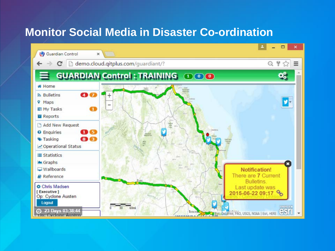#### **Monitor Social Media in Disaster Co-ordination**

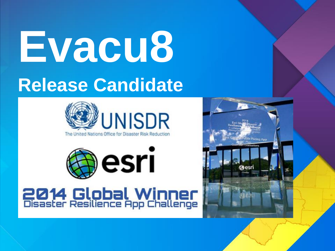## **[Evacu8](https://www.youtube.com/watch?v=j3eOGBk9yPY) Release Candidate**





## 2014 Global Winner

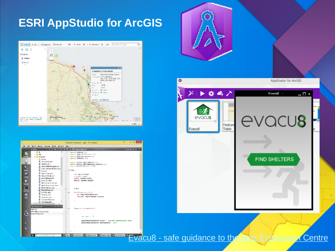#### **ESRI AppStudio for ArcGIS**







**Evacuation Centre** Evacu8 - [safe guidance to the best Evacuation Centre](https://www.youtube.com/watch?v=j3eOGBk9yPY)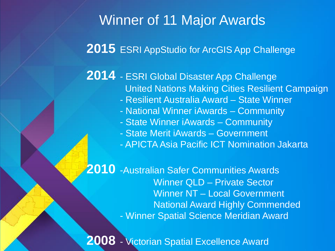Winner of 11 Major Awards

**2015** ESRI AppStudio for ArcGIS App Challenge

**2014** - ESRI Global Disaster App Challenge United Nations Making Cities Resilient Campaign

- Resilient Australia Award State Winner
- National Winner iAwards Community
- State Winner iAwards Community
- State Merit iAwards Government
- APICTA Asia Pacific ICT Nomination Jakarta

**2010** -Australian Safer Communities Awards Winner QLD – Private Sector Winner NT – Local Government National Award Highly Commended - Winner Spatial Science Meridian Award

**2008** - Victorian Spatial Excellence Award